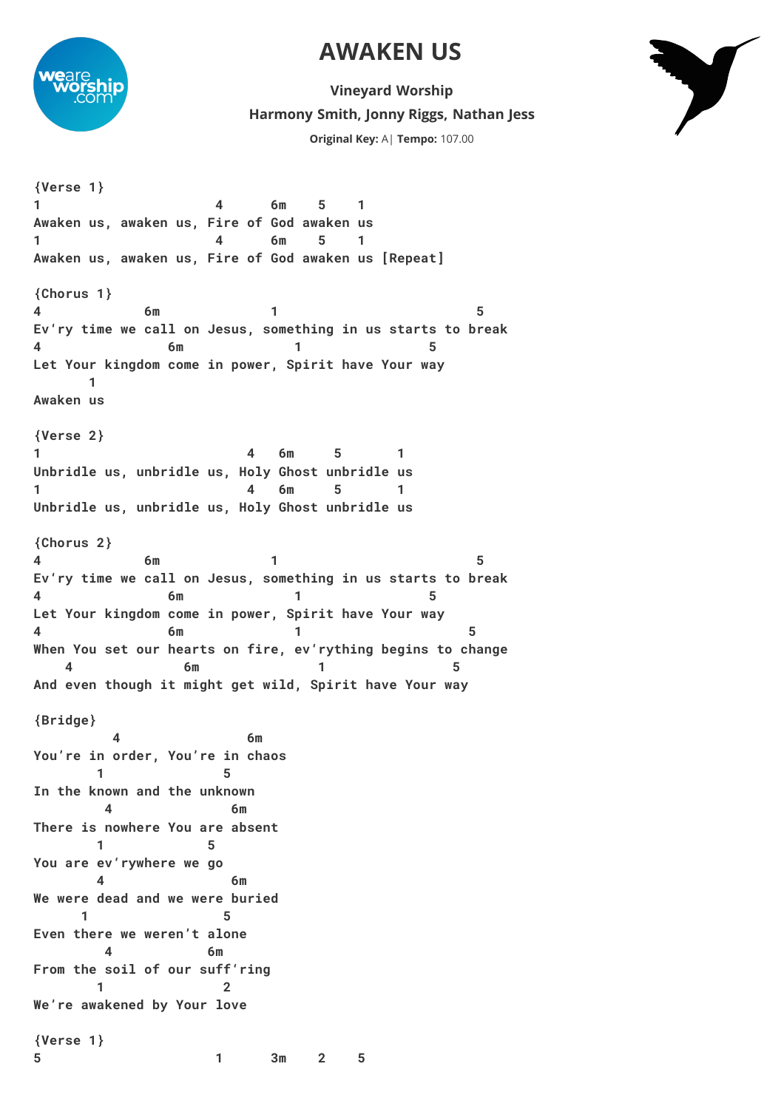## **AWAKEN US**



**Harmony Smith, Jonny Riggs, Nathan Jess Vineyard Worship Original Key:** A| **Tempo:** 107.00



**{Verse 1} 1 4 6m 5 1 Awaken us, awaken us, Fire of God awaken us 1 4 6m 5 1 Awaken us, awaken us, Fire of God awaken us [Repeat] {Chorus 1} 4 6m 1 5 Ev'ry time we call on Jesus, something in us starts to break 4 6m 1 5 Let Your kingdom come in power, Spirit have Your way 1 Awaken us {Verse 2} 1 4 6m 5 1 Unbridle us, unbridle us, Holy Ghost unbridle us 1 4 6m 5 1 Unbridle us, unbridle us, Holy Ghost unbridle us {Chorus 2} 4 6m 1 5 Ev'ry time we call on Jesus, something in us starts to break 4 6m 1 5 Let Your kingdom come in power, Spirit have Your way 4 6m 1 5 When You set our hearts on fire, ev'rything begins to change 4 6m 1 5 And even though it might get wild, Spirit have Your way {Bridge} 4 6m You're in order, You're in chaos 1** 5 **In the known and the unknown 4 6m There is nowhere You are absent 1 5 You are ev'rywhere we go 4 6m We were dead and we were buried 1** 5 **Even there we weren't alone 4 6m From the soil of our suff'ring 1 2 We're awakened by Your love {Verse 1} 5 1 3m 2 5**